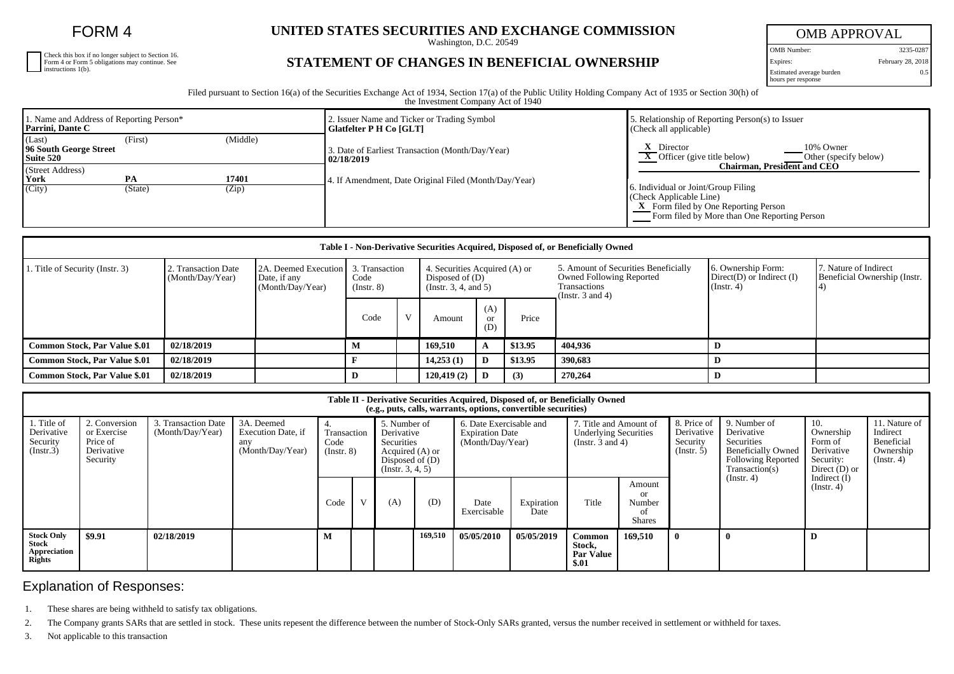FORM 4

Check this box if no longer subject to Section 16. Form 4 or Form 5 obligations may continue. See instructions 1(b).

## **UNITED STATES SECURITIES AND EXCHANGE COMMISSION**

Washington, D.C. 20549

## OMB APPROVAL OMB Number: 3235-0287 Expires: February 28, 2018 0.5

**STATEMENT OF CHANGES IN BENEFICIAL OWNERSHIP**

Estimated average burden hours per response

Filed pursuant to Section 16(a) of the Securities Exchange Act of 1934, Section 17(a) of the Public Utility Holding Company Act of 1935 or Section 30(h) of the Investment Company Act of 1940

| 1. Name and Address of Reporting Person*<br>Parrini, Dante C |               |                | 2. Issuer Name and Ticker or Trading Symbol<br>Glatfelter P H Co [GLT] | . Relationship of Reporting Person(s) to Issuer<br>(Check all applicable)                                                                                                                    |  |  |  |  |
|--------------------------------------------------------------|---------------|----------------|------------------------------------------------------------------------|----------------------------------------------------------------------------------------------------------------------------------------------------------------------------------------------|--|--|--|--|
| (Last)<br>96 South George Street<br>Suite 520                | (First)       | (Middle)       | 3. Date of Earliest Transaction (Month/Day/Year)<br>02/18/2019         | Director<br>10% Owner<br>$\overline{X}$ Officer (give title below)<br>Other (specify below)                                                                                                  |  |  |  |  |
| (Street Address)<br>York<br>(City)                           | PA<br>(State) | 17401<br>(Zip) | 4. If Amendment, Date Original Filed (Month/Day/Year)                  | Chairman. President and CEO<br>6. Individual or Joint/Group Filing<br>(Check Applicable Line)<br><b>X</b> Form filed by One Reporting Person<br>Form filed by More than One Reporting Person |  |  |  |  |

| Table I - Non-Derivative Securities Acquired, Disposed of, or Beneficially Owned |                                         |                                                          |                                       |              |                                                                            |                             |         |                                                                                                                  |                                                                         |                                                       |  |  |
|----------------------------------------------------------------------------------|-----------------------------------------|----------------------------------------------------------|---------------------------------------|--------------|----------------------------------------------------------------------------|-----------------------------|---------|------------------------------------------------------------------------------------------------------------------|-------------------------------------------------------------------------|-------------------------------------------------------|--|--|
| 1. Title of Security (Instr. 3)                                                  | 2. Transaction Date<br>(Month/Day/Year) | 2A. Deemed Execution<br>Date, if any<br>(Month/Day/Year) | 3. Transaction<br>Code<br>(Insert. 8) |              | 4. Securities Acquired (A) or<br>Disposed of $(D)$<br>(Instr. 3, 4, and 5) |                             |         | 5. Amount of Securities Beneficially<br><b>Owned Following Reported</b><br>Transactions<br>(Instr. $3$ and $4$ ) | 6. Ownership Form:<br>$Direct(D)$ or Indirect $(I)$<br>$($ Instr. 4 $)$ | 7. Nature of Indirect<br>Beneficial Ownership (Instr. |  |  |
|                                                                                  |                                         |                                                          | Code                                  | $\mathbf{V}$ | Amount                                                                     | (A)<br><sub>or</sub><br>(D) | Price   |                                                                                                                  |                                                                         |                                                       |  |  |
| Common Stock, Par Value \$.01                                                    | 02/18/2019                              |                                                          |                                       |              | 169.510                                                                    |                             | \$13.95 | 404.936                                                                                                          |                                                                         |                                                       |  |  |
| <b>Common Stock, Par Value \$.01</b>                                             | 02/18/2019                              |                                                          |                                       |              | 14,253(1)                                                                  |                             | \$13.95 | 390,683                                                                                                          |                                                                         |                                                       |  |  |
| <b>Common Stock, Par Value \$.01</b>                                             | 02/18/2019                              |                                                          | D                                     |              | 120,419(2)                                                                 |                             | (3)     | 270,264                                                                                                          |                                                                         |                                                       |  |  |

| Table II - Derivative Securities Acquired, Disposed of, or Beneficially Owned<br>(e.g., puts, calls, warrants, options, convertible securities) |                                                                    |                                         |                                                             |                                         |              |                                                                                                       |         |                                                                       |                    |                                                                            |                                                      |                                                           |                                                                                                                      |                                                                           |                                                                          |
|-------------------------------------------------------------------------------------------------------------------------------------------------|--------------------------------------------------------------------|-----------------------------------------|-------------------------------------------------------------|-----------------------------------------|--------------|-------------------------------------------------------------------------------------------------------|---------|-----------------------------------------------------------------------|--------------------|----------------------------------------------------------------------------|------------------------------------------------------|-----------------------------------------------------------|----------------------------------------------------------------------------------------------------------------------|---------------------------------------------------------------------------|--------------------------------------------------------------------------|
| 1. Title of<br>Derivative<br>Security<br>(Insert.3)                                                                                             | 2. Conversion<br>or Exercise<br>Price of<br>Derivative<br>Security | 3. Transaction Date<br>(Month/Day/Year) | 3A. Deemed<br>Execution Date, if<br>any<br>(Month/Day/Year) | 4.<br>Transaction<br>Code<br>(Insert 8) |              | 5. Number of<br>Derivative<br>Securities<br>Acquired (A) or<br>Disposed of $(D)$<br>(Insert. 3, 4, 5) |         | 6. Date Exercisable and<br><b>Expiration Date</b><br>(Month/Day/Year) |                    | 7. Title and Amount of<br><b>Underlying Securities</b><br>(Instr. 3 and 4) |                                                      | 8. Price of<br>Derivative<br>Security<br>$($ Instr. 5 $)$ | 9. Number of<br>Derivative<br>Securities<br><b>Beneficially Owned</b><br><b>Following Reported</b><br>Transaction(s) | 10.<br>Ownership<br>Form of<br>Derivative<br>Security:<br>Direct $(D)$ or | 11. Nature of<br>Indirect<br>Beneficial<br>Ownership<br>$($ Instr. 4 $)$ |
|                                                                                                                                                 |                                                                    |                                         |                                                             | Code                                    | $\mathbf{V}$ | (A)                                                                                                   | (D)     | Date<br>Exercisable                                                   | Expiration<br>Date | Title                                                                      | Amount<br><b>or</b><br>Number<br>οf<br><b>Shares</b> |                                                           | (Insert. 4)                                                                                                          | Indirect $(I)$<br>(Instr. 4)                                              |                                                                          |
| <b>Stock Only</b><br>Stock<br>Appreciation<br><b>Rights</b>                                                                                     | \$9.91                                                             | 02/18/2019                              |                                                             | M                                       |              |                                                                                                       | 169,510 | 05/05/2010                                                            | 05/05/2019         | Common<br>Stock,<br><b>Par Value</b><br>\$.01                              | 169.510                                              |                                                           | $\mathbf{0}$                                                                                                         | D                                                                         |                                                                          |

## Explanation of Responses:

1. These shares are being withheld to satisfy tax obligations.

2. The Company grants SARs that are settled in stock. These units repesent the difference between the number of Stock-Only SARs granted, versus the number received in settlement or withheld for taxes.

3. Not applicable to this transaction